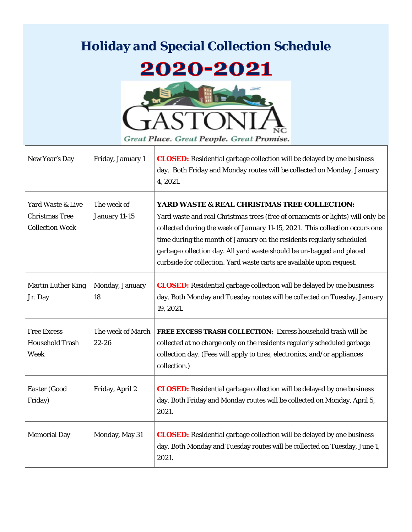## **Holiday and Special Collection Schedule**

## 2020-2021



Great Place. Great People. Great Promise.

| New Year's Day                                                       | Friday, January 1              | <b>CLOSED:</b> Residential garbage collection will be delayed by one business<br>day. Both Friday and Monday routes will be collected on Monday, January<br>4, 2021.                                                                                                                                                                                                                                                                      |
|----------------------------------------------------------------------|--------------------------------|-------------------------------------------------------------------------------------------------------------------------------------------------------------------------------------------------------------------------------------------------------------------------------------------------------------------------------------------------------------------------------------------------------------------------------------------|
| Yard Waste & Live<br><b>Christmas Tree</b><br><b>Collection Week</b> | The week of<br>January 11-15   | YARD WASTE & REAL CHRISTMAS TREE COLLECTION:<br>Yard waste and real Christmas trees (free of ornaments or lights) will only be<br>collected during the week of January 11-15, 2021. This collection occurs one<br>time during the month of January on the residents regularly scheduled<br>garbage collection day. All yard waste should be un-bagged and placed<br>curbside for collection. Yard waste carts are available upon request. |
| <b>Martin Luther King</b><br>Jr. Day                                 | Monday, January<br>18          | <b>CLOSED:</b> Residential garbage collection will be delayed by one business<br>day. Both Monday and Tuesday routes will be collected on Tuesday, January<br>19, 2021.                                                                                                                                                                                                                                                                   |
| <b>Free Excess</b><br><b>Household Trash</b><br>Week                 | The week of March<br>$22 - 26$ | FREE EXCESS TRASH COLLECTION: Excess household trash will be<br>collected at no charge only on the residents regularly scheduled garbage<br>collection day. (Fees will apply to tires, electronics, and/or appliances<br>collection.)                                                                                                                                                                                                     |
| Easter (Good<br>Friday)                                              | Friday, April 2                | <b>CLOSED:</b> Residential garbage collection will be delayed by one business<br>day. Both Friday and Monday routes will be collected on Monday, April 5,<br>2021.                                                                                                                                                                                                                                                                        |
| <b>Memorial Day</b>                                                  | Monday, May 31                 | <b>CLOSED:</b> Residential garbage collection will be delayed by one business<br>day. Both Monday and Tuesday routes will be collected on Tuesday, June 1,<br>2021.                                                                                                                                                                                                                                                                       |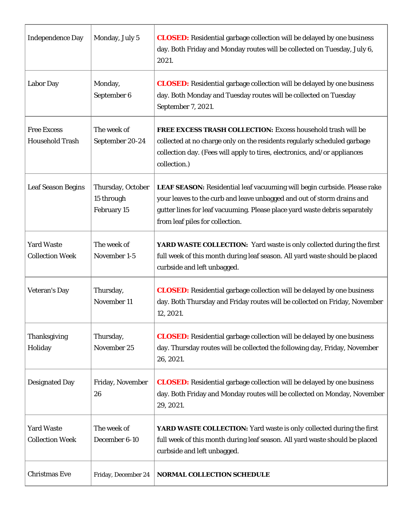| <b>Independence Day</b>                      | Monday, July 5                                 | <b>CLOSED:</b> Residential garbage collection will be delayed by one business<br>day. Both Friday and Monday routes will be collected on Tuesday, July 6,<br>2021.                                                                                                  |
|----------------------------------------------|------------------------------------------------|---------------------------------------------------------------------------------------------------------------------------------------------------------------------------------------------------------------------------------------------------------------------|
| <b>Labor Day</b>                             | Monday,<br>September 6                         | <b>CLOSED:</b> Residential garbage collection will be delayed by one business<br>day. Both Monday and Tuesday routes will be collected on Tuesday<br>September 7, 2021.                                                                                             |
| <b>Free Excess</b><br><b>Household Trash</b> | The week of<br>September 20-24                 | <b>FREE EXCESS TRASH COLLECTION:</b> Excess household trash will be<br>collected at no charge only on the residents regularly scheduled garbage<br>collection day. (Fees will apply to tires, electronics, and/or appliances<br>collection.)                        |
| <b>Leaf Season Begins</b>                    | Thursday, October<br>15 through<br>February 15 | LEAF SEASON: Residential leaf vacuuming will begin curbside. Please rake<br>your leaves to the curb and leave unbagged and out of storm drains and<br>gutter lines for leaf vacuuming. Please place yard waste debris separately<br>from leaf piles for collection. |
| <b>Yard Waste</b><br><b>Collection Week</b>  | The week of<br>November 1-5                    | YARD WASTE COLLECTION: Yard waste is only collected during the first<br>full week of this month during leaf season. All yard waste should be placed<br>curbside and left unbagged.                                                                                  |
| <b>Veteran's Day</b>                         | Thursday,<br>November 11                       | <b>CLOSED:</b> Residential garbage collection will be delayed by one business<br>day. Both Thursday and Friday routes will be collected on Friday, November<br>12, 2021.                                                                                            |
| Thanksgiving<br>Holiday                      | Thursday,<br>November 25                       | <b>CLOSED:</b> Residential garbage collection will be delayed by one business<br>day. Thursday routes will be collected the following day, Friday, November<br>26, 2021.                                                                                            |
| <b>Designated Day</b>                        | Friday, November<br>26                         | <b>CLOSED:</b> Residential garbage collection will be delayed by one business<br>day. Both Friday and Monday routes will be collected on Monday, November<br>29, 2021.                                                                                              |
| <b>Yard Waste</b><br><b>Collection Week</b>  | The week of<br>December 6-10                   | YARD WASTE COLLECTION: Yard waste is only collected during the first<br>full week of this month during leaf season. All yard waste should be placed<br>curbside and left unbagged.                                                                                  |
| <b>Christmas Eve</b>                         | Friday, December 24                            | NORMAL COLLECTION SCHEDULE                                                                                                                                                                                                                                          |